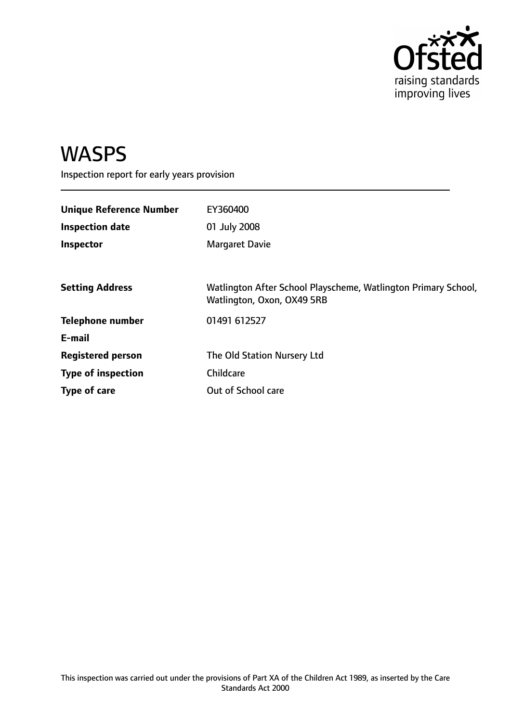

# WASPS

Inspection report for early years provision

| <b>Unique Reference Number</b><br><b>Inspection date</b><br>Inspector | EY360400<br>01 July 2008<br><b>Margaret Davie</b>                                            |
|-----------------------------------------------------------------------|----------------------------------------------------------------------------------------------|
| <b>Setting Address</b>                                                | Watlington After School Playscheme, Watlington Primary School,<br>Watlington, Oxon, OX49 5RB |
| <b>Telephone number</b>                                               | 01491 612527                                                                                 |
| E-mail                                                                |                                                                                              |
| <b>Registered person</b>                                              | The Old Station Nursery Ltd                                                                  |
| <b>Type of inspection</b>                                             | Childcare                                                                                    |
| Type of care                                                          | Out of School care                                                                           |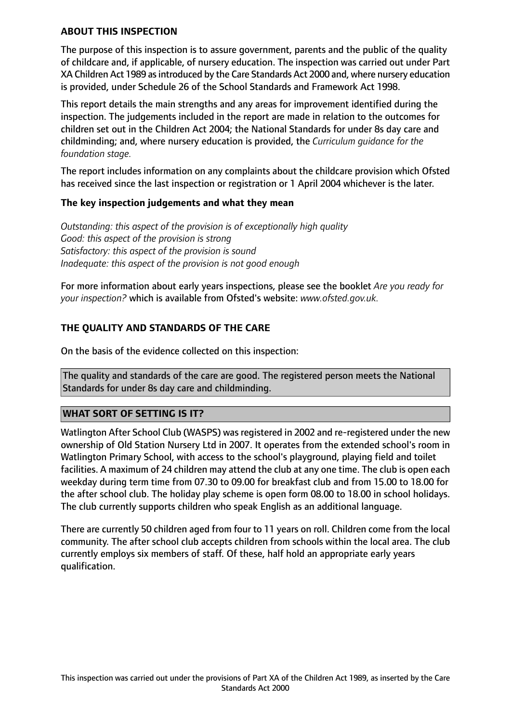#### **ABOUT THIS INSPECTION**

The purpose of this inspection is to assure government, parents and the public of the quality of childcare and, if applicable, of nursery education. The inspection was carried out under Part XA Children Act 1989 as introduced by the Care Standards Act 2000 and, where nursery education is provided, under Schedule 26 of the School Standards and Framework Act 1998.

This report details the main strengths and any areas for improvement identified during the inspection. The judgements included in the report are made in relation to the outcomes for children set out in the Children Act 2004; the National Standards for under 8s day care and childminding; and, where nursery education is provided, the *Curriculum guidance for the foundation stage.*

The report includes information on any complaints about the childcare provision which Ofsted has received since the last inspection or registration or 1 April 2004 whichever is the later.

#### **The key inspection judgements and what they mean**

*Outstanding: this aspect of the provision is of exceptionally high quality Good: this aspect of the provision is strong Satisfactory: this aspect of the provision is sound Inadequate: this aspect of the provision is not good enough*

For more information about early years inspections, please see the booklet *Are you ready for your inspection?* which is available from Ofsted's website: *www.ofsted.gov.uk.*

#### **THE QUALITY AND STANDARDS OF THE CARE**

On the basis of the evidence collected on this inspection:

The quality and standards of the care are good. The registered person meets the National Standards for under 8s day care and childminding.

#### **WHAT SORT OF SETTING IS IT?**

Watlington After School Club (WASPS) was registered in 2002 and re-registered under the new ownership of Old Station Nursery Ltd in 2007. It operates from the extended school's room in Watlington Primary School, with access to the school's playground, playing field and toilet facilities. A maximum of 24 children may attend the club at any one time. The club is open each weekday during term time from 07.30 to 09.00 for breakfast club and from 15.00 to 18.00 for the after school club. The holiday play scheme is open form 08.00 to 18.00 in school holidays. The club currently supports children who speak English as an additional language.

There are currently 50 children aged from four to 11 years on roll. Children come from the local community. The after school club accepts children from schools within the local area. The club currently employs six members of staff. Of these, half hold an appropriate early years qualification.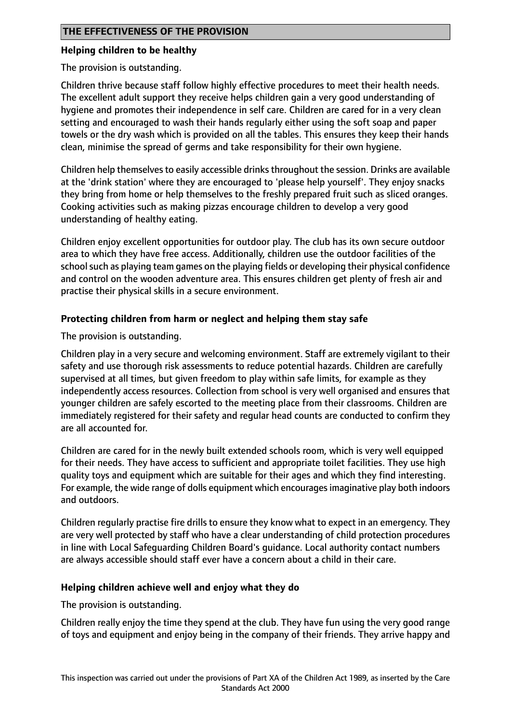# **Helping children to be healthy**

# The provision is outstanding.

Children thrive because staff follow highly effective procedures to meet their health needs. The excellent adult support they receive helps children gain a very good understanding of hygiene and promotes their independence in self care. Children are cared for in a very clean setting and encouraged to wash their hands regularly either using the soft soap and paper towels or the dry wash which is provided on all the tables. This ensures they keep their hands clean, minimise the spread of germs and take responsibility for their own hygiene.

Children help themselves to easily accessible drinks throughout the session. Drinks are available at the 'drink station' where they are encouraged to 'please help yourself'. They enjoy snacks they bring from home or help themselves to the freshly prepared fruit such as sliced oranges. Cooking activities such as making pizzas encourage children to develop a very good understanding of healthy eating.

Children enjoy excellent opportunities for outdoor play. The club has its own secure outdoor area to which they have free access. Additionally, children use the outdoor facilities of the school such as playing team games on the playing fields or developing their physical confidence and control on the wooden adventure area. This ensures children get plenty of fresh air and practise their physical skills in a secure environment.

# **Protecting children from harm or neglect and helping them stay safe**

The provision is outstanding.

Children play in a very secure and welcoming environment. Staff are extremely vigilant to their safety and use thorough risk assessments to reduce potential hazards. Children are carefully supervised at all times, but given freedom to play within safe limits, for example as they independently access resources. Collection from school is very well organised and ensures that younger children are safely escorted to the meeting place from their classrooms. Children are immediately registered for their safety and regular head counts are conducted to confirm they are all accounted for.

Children are cared for in the newly built extended schools room, which is very well equipped for their needs. They have access to sufficient and appropriate toilet facilities. They use high quality toys and equipment which are suitable for their ages and which they find interesting. For example, the wide range of dolls equipment which encouragesimaginative play both indoors and outdoors.

Children regularly practise fire drills to ensure they know what to expect in an emergency. They are very well protected by staff who have a clear understanding of child protection procedures in line with Local Safeguarding Children Board's guidance. Local authority contact numbers are always accessible should staff ever have a concern about a child in their care.

# **Helping children achieve well and enjoy what they do**

The provision is outstanding.

Children really enjoy the time they spend at the club. They have fun using the very good range of toys and equipment and enjoy being in the company of their friends. They arrive happy and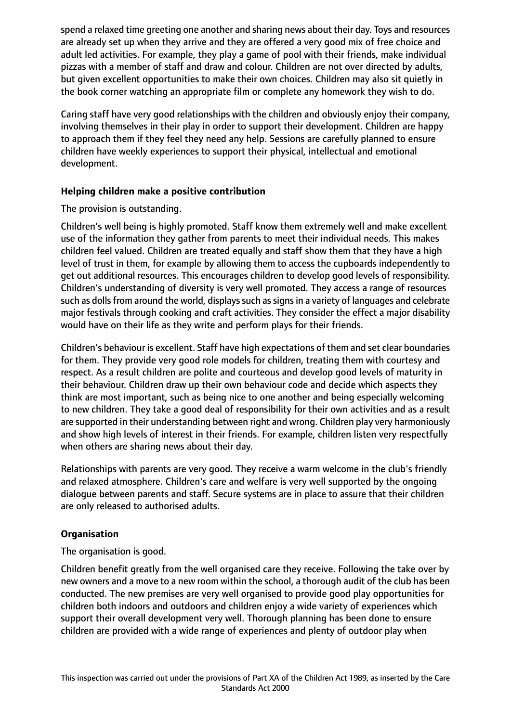spend a relaxed time greeting one another and sharing news about their day. Toys and resources are already set up when they arrive and they are offered a very good mix of free choice and adult led activities. For example, they play a game of pool with their friends, make individual pizzas with a member of staff and draw and colour. Children are not over directed by adults, but given excellent opportunities to make their own choices. Children may also sit quietly in the book corner watching an appropriate film or complete any homework they wish to do.

Caring staff have very good relationships with the children and obviously enjoy their company, involving themselves in their play in order to support their development. Children are happy to approach them if they feel they need any help. Sessions are carefully planned to ensure children have weekly experiences to support their physical, intellectual and emotional development.

# **Helping children make a positive contribution**

# The provision is outstanding.

Children's well being is highly promoted. Staff know them extremely well and make excellent use of the information they gather from parents to meet their individual needs. This makes children feel valued. Children are treated equally and staff show them that they have a high level of trust in them, for example by allowing them to access the cupboards independently to get out additional resources. This encourages children to develop good levels of responsibility. Children's understanding of diversity is very well promoted. They access a range of resources such as dolls from around the world, displays such as signs in a variety of languages and celebrate major festivals through cooking and craft activities. They consider the effect a major disability would have on their life as they write and perform plays for their friends.

Children's behaviour is excellent. Staff have high expectations of them and set clear boundaries for them. They provide very good role models for children, treating them with courtesy and respect. As a result children are polite and courteous and develop good levels of maturity in their behaviour. Children draw up their own behaviour code and decide which aspects they think are most important, such as being nice to one another and being especially welcoming to new children. They take a good deal of responsibility for their own activities and as a result are supported in their understanding between right and wrong. Children play very harmoniously and show high levels of interest in their friends. For example, children listen very respectfully when others are sharing news about their day.

Relationships with parents are very good. They receive a warm welcome in the club's friendly and relaxed atmosphere. Children's care and welfare is very well supported by the ongoing dialogue between parents and staff. Secure systems are in place to assure that their children are only released to authorised adults.

# **Organisation**

The organisation is good.

Children benefit greatly from the well organised care they receive. Following the take over by new owners and a move to a new room within the school, a thorough audit of the club has been conducted. The new premises are very well organised to provide good play opportunities for children both indoors and outdoors and children enjoy a wide variety of experiences which support their overall development very well. Thorough planning has been done to ensure children are provided with a wide range of experiences and plenty of outdoor play when